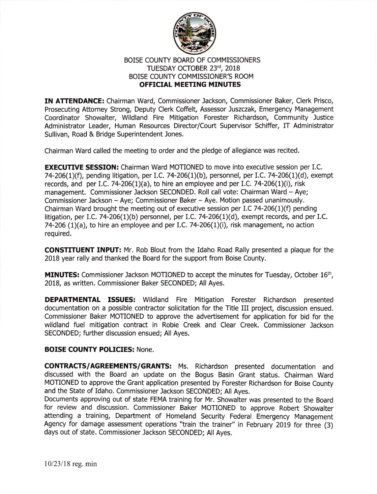

## BOISE COUNTY BOARD OF COMMISSIONERS TUESDAY OCTOBER 23rd, 2018 BOISE COUNTY COMMISSIONER'S ROOM **OFFICIAL MEETING MINUTES**

IN ATTENDANCE: Chairman Ward, Commissioner Jackson, Commissioner Baker, Clerk Prisco, Prosecuting Attorney Strong, Deputy Clerk Coffelt, Assessor Juszczak, Emergency Management Coordinator Showalter, Wildland Fire Mitigation Forester Richardson, Community Justice Administrator Leader, Human Resources Director/Court Supervisor Schiffer, IT Administrator Sullivan, Road & Bridge Superintendent Jones.

Chairman Ward called the meeting to order and the pledge of allegiance was reclted.

**EXECUTIVE SESSION:** Chairman Ward MOTIONED to move into executive session per I.C. 74-206(1)(f), pending litigation, per I.C. 74-206(1)(b), personnel, per I.C. 74-206(1)(d), exempt records, and per I.C. 74-206(1)(a), to hire an employee and per I.C. 74-206(1)(i), risk management. Commissioner Jackson SECONDED. Roll call vote: Chairman Ward - Aye; Commissioner Jackson - Aye; Commissioner Baker - Aye. Motion passed unanimously. Chairman Ward brought the meeting out of executive session per I.C 74-206(1)(f) pending litigation, per I.C. 74-206(1)(b) personnel, per I.C. 74-206(1)(d), exempt records, and per I.C. 74-206 (1)(a), to hire an employee and per I.C. 74-206(1)(i), risk management, no action required.

**CONSTITUENT INPUT:** Mr. Rob Blout from the Idaho Road Rally presented a plaque for the 2018 year rally and thanked the Board for the support from Boise County.

**MINUTES:** Commissioner Jackson MOTIONED to accept the minutes for Tuesday, October 16<sup>th</sup>, 2018, as written. Commissioner Baker SECONDED; All Ayes.

DEPARTMENTAL ISSUES: Wildland Fire Mitigation Forester Richardson presented documentation on a possible contractor solicitation for the Title III project, discussion ensued. Commissioner Baker MOTIONED to approve the adveftisement for application for bid for the wildland fuel mitigation contract in Robie Creek and Clear Creek. Commissioner Jackson SECONDED; further discussion ensued; All Ayes.

## BOISE COUNTY POLICIES: None.

CONTRACTS/AGREEMENTS/GRANTS: Ms. Richardson presented documentation and discussed with the Board an update on the Bogus Basin Grant status. Chairman Ward MOTIONED to approve the Grant application presented by Forester Richardson for Boise County and the State of Idaho. Commissioner Jackson SECONDED; All Ayes.

Documents approving out of state FEMA training for Mr. Showalter was presented to the Board for review and discussion. commissioner Baker MoTIoNED to approve Robert showalter attending a training, Department of Homeland Security Federal Emergency Management Agency for damage assessment operations "train the trainer" in February 2019 for three (3) days out of state. Commissioner Jackson SECONDED; All Ayes.